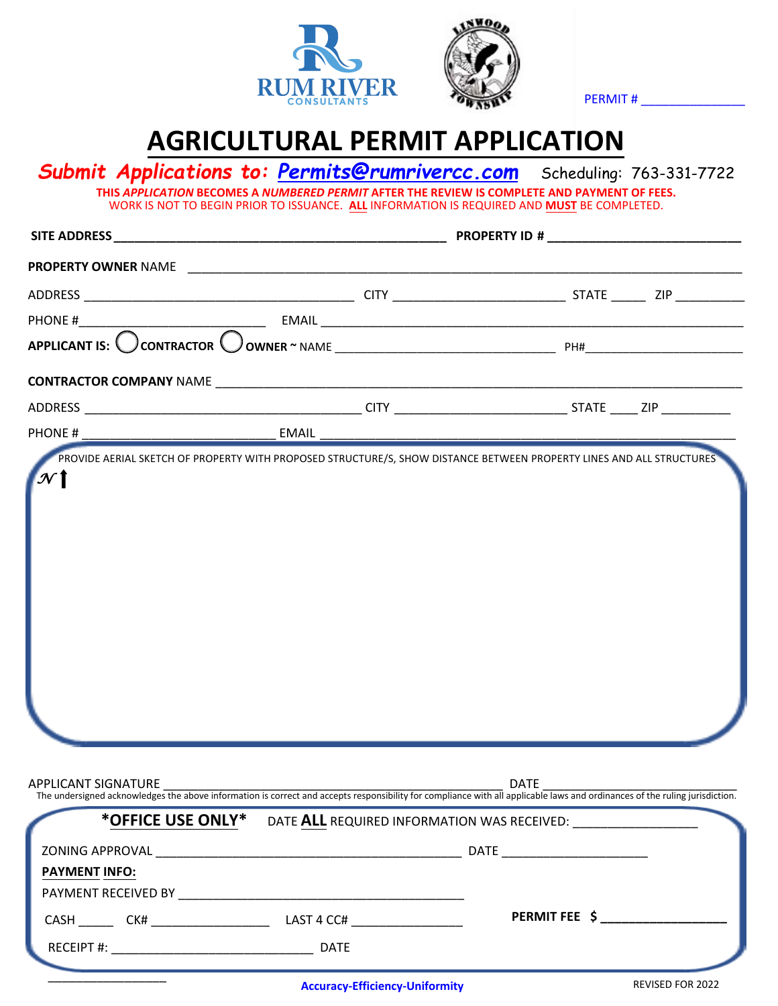



PERMIT #

## **AGRICULTURAL PERMIT APPLICATION**

| PHONE#              |                                             |               |  |
|---------------------|---------------------------------------------|---------------|--|
|                     |                                             |               |  |
|                     |                                             |               |  |
| APPLICANT SIGNATURE |                                             | <b>DATE</b>   |  |
| *OFFICE USE ONLY*   | DATE ALL REQUIRED INFORMATION WAS RECEIVED: |               |  |
| PAYMENT INFO:       |                                             |               |  |
|                     |                                             |               |  |
|                     |                                             | PERMIT FEE \$ |  |